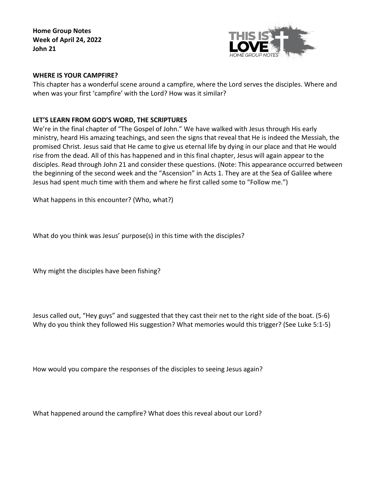**Home Group Notes Week of April 24, 2022 John 21**



## **WHERE IS YOUR CAMPFIRE?**

This chapter has a wonderful scene around a campfire, where the Lord serves the disciples. Where and when was your first 'campfire' with the Lord? How was it similar?

## **LET'S LEARN FROM GOD'S WORD, THE SCRIPTURES**

We're in the final chapter of "The Gospel of John." We have walked with Jesus through His early ministry, heard His amazing teachings, and seen the signs that reveal that He is indeed the Messiah, the promised Christ. Jesus said that He came to give us eternal life by dying in our place and that He would rise from the dead. All of this has happened and in this final chapter, Jesus will again appear to the disciples. Read through John 21 and consider these questions. (Note: This appearance occurred between the beginning of the second week and the "Ascension" in Acts 1. They are at the Sea of Galilee where Jesus had spent much time with them and where he first called some to "Follow me.")

What happens in this encounter? (Who, what?)

What do you think was Jesus' purpose(s) in this time with the disciples?

Why might the disciples have been fishing?

Jesus called out, "Hey guys" and suggested that they cast their net to the right side of the boat. (5-6) Why do you think they followed His suggestion? What memories would this trigger? (See Luke 5:1-5)

How would you compare the responses of the disciples to seeing Jesus again?

What happened around the campfire? What does this reveal about our Lord?